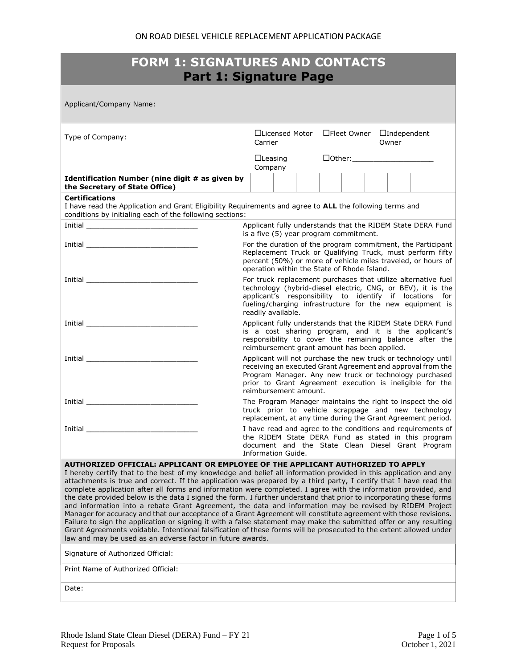| <b>FORM 1: SIGNATURES AND CONTACTS</b><br><b>Part 1: Signature Page</b>                                                                                                                                                                                                                                                                                                                                                                                                                                                                                                                                                                                                                                                                                                                                                                                                                                                                                                                                                                                                                                       |                                                                                                                                                                                                                                                                             |                                                            |  |  |
|---------------------------------------------------------------------------------------------------------------------------------------------------------------------------------------------------------------------------------------------------------------------------------------------------------------------------------------------------------------------------------------------------------------------------------------------------------------------------------------------------------------------------------------------------------------------------------------------------------------------------------------------------------------------------------------------------------------------------------------------------------------------------------------------------------------------------------------------------------------------------------------------------------------------------------------------------------------------------------------------------------------------------------------------------------------------------------------------------------------|-----------------------------------------------------------------------------------------------------------------------------------------------------------------------------------------------------------------------------------------------------------------------------|------------------------------------------------------------|--|--|
| Applicant/Company Name:                                                                                                                                                                                                                                                                                                                                                                                                                                                                                                                                                                                                                                                                                                                                                                                                                                                                                                                                                                                                                                                                                       |                                                                                                                                                                                                                                                                             |                                                            |  |  |
| Type of Company:                                                                                                                                                                                                                                                                                                                                                                                                                                                                                                                                                                                                                                                                                                                                                                                                                                                                                                                                                                                                                                                                                              | □Licensed Motor<br>Carrier                                                                                                                                                                                                                                                  | □Fleet Owner □Independent<br>Owner                         |  |  |
|                                                                                                                                                                                                                                                                                                                                                                                                                                                                                                                                                                                                                                                                                                                                                                                                                                                                                                                                                                                                                                                                                                               | $\Box$ Leasing<br>Company                                                                                                                                                                                                                                                   | $\Box$ Other: $\Box$                                       |  |  |
| Identification Number (nine digit # as given by<br>the Secretary of State Office)                                                                                                                                                                                                                                                                                                                                                                                                                                                                                                                                                                                                                                                                                                                                                                                                                                                                                                                                                                                                                             |                                                                                                                                                                                                                                                                             |                                                            |  |  |
| <b>Certifications</b><br>I have read the Application and Grant Eligibility Requirements and agree to ALL the following terms and<br>conditions by initialing each of the following sections:                                                                                                                                                                                                                                                                                                                                                                                                                                                                                                                                                                                                                                                                                                                                                                                                                                                                                                                  |                                                                                                                                                                                                                                                                             |                                                            |  |  |
| <b>Initial</b> contract the contract of the contract of the contract of the contract of the contract of the contract of the contract of the contract of the contract of the contract of the contract of the contract of the contrac                                                                                                                                                                                                                                                                                                                                                                                                                                                                                                                                                                                                                                                                                                                                                                                                                                                                           | is a five (5) year program commitment.                                                                                                                                                                                                                                      | Applicant fully understands that the RIDEM State DERA Fund |  |  |
|                                                                                                                                                                                                                                                                                                                                                                                                                                                                                                                                                                                                                                                                                                                                                                                                                                                                                                                                                                                                                                                                                                               | For the duration of the program commitment, the Participant<br>Replacement Truck or Qualifying Truck, must perform fifty<br>percent (50%) or more of vehicle miles traveled, or hours of<br>operation within the State of Rhode Island.                                     |                                                            |  |  |
| <b>Initial</b> contract the contract of the contract of the contract of the contract of the contract of the contract of the contract of the contract of the contract of the contract of the contract of the contract of the contrac                                                                                                                                                                                                                                                                                                                                                                                                                                                                                                                                                                                                                                                                                                                                                                                                                                                                           | For truck replacement purchases that utilize alternative fuel<br>technology (hybrid-diesel electric, CNG, or BEV), it is the<br>applicant's responsibility to identify if locations for<br>fueling/charging infrastructure for the new equipment is<br>readily available.   |                                                            |  |  |
|                                                                                                                                                                                                                                                                                                                                                                                                                                                                                                                                                                                                                                                                                                                                                                                                                                                                                                                                                                                                                                                                                                               | Applicant fully understands that the RIDEM State DERA Fund<br>is a cost sharing program, and it is the applicant's<br>responsibility to cover the remaining balance after the<br>reimbursement grant amount has been applied.                                               |                                                            |  |  |
|                                                                                                                                                                                                                                                                                                                                                                                                                                                                                                                                                                                                                                                                                                                                                                                                                                                                                                                                                                                                                                                                                                               | Applicant will not purchase the new truck or technology until<br>receiving an executed Grant Agreement and approval from the<br>Program Manager. Any new truck or technology purchased<br>prior to Grant Agreement execution is ineligible for the<br>reimbursement amount. |                                                            |  |  |
| <b>Initial</b>                                                                                                                                                                                                                                                                                                                                                                                                                                                                                                                                                                                                                                                                                                                                                                                                                                                                                                                                                                                                                                                                                                | The Program Manager maintains the right to inspect the old<br>truck prior to vehicle scrappage and new technology<br>replacement, at any time during the Grant Agreement period.                                                                                            |                                                            |  |  |
| Initial                                                                                                                                                                                                                                                                                                                                                                                                                                                                                                                                                                                                                                                                                                                                                                                                                                                                                                                                                                                                                                                                                                       | I have read and agree to the conditions and requirements of<br>the RIDEM State DERA Fund as stated in this program<br>document and the State Clean Diesel Grant Program<br>Information Guide.                                                                               |                                                            |  |  |
| AUTHORIZED OFFICIAL: APPLICANT OR EMPLOYEE OF THE APPLICANT AUTHORIZED TO APPLY<br>I hereby certify that to the best of my knowledge and belief all information provided in this application and any<br>attachments is true and correct. If the application was prepared by a third party, I certify that I have read the<br>complete application after all forms and information were completed. I agree with the information provided, and<br>the date provided below is the data I signed the form. I further understand that prior to incorporating these forms<br>and information into a rebate Grant Agreement, the data and information may be revised by RIDEM Project<br>Manager for accuracy and that our acceptance of a Grant Agreement will constitute agreement with those revisions.<br>Failure to sign the application or signing it with a false statement may make the submitted offer or any resulting<br>Grant Agreements voidable. Intentional falsification of these forms will be prosecuted to the extent allowed under<br>law and may be used as an adverse factor in future awards. |                                                                                                                                                                                                                                                                             |                                                            |  |  |
| Signature of Authorized Official:                                                                                                                                                                                                                                                                                                                                                                                                                                                                                                                                                                                                                                                                                                                                                                                                                                                                                                                                                                                                                                                                             |                                                                                                                                                                                                                                                                             |                                                            |  |  |
| Print Name of Authorized Official:                                                                                                                                                                                                                                                                                                                                                                                                                                                                                                                                                                                                                                                                                                                                                                                                                                                                                                                                                                                                                                                                            |                                                                                                                                                                                                                                                                             |                                                            |  |  |
| Date:                                                                                                                                                                                                                                                                                                                                                                                                                                                                                                                                                                                                                                                                                                                                                                                                                                                                                                                                                                                                                                                                                                         |                                                                                                                                                                                                                                                                             |                                                            |  |  |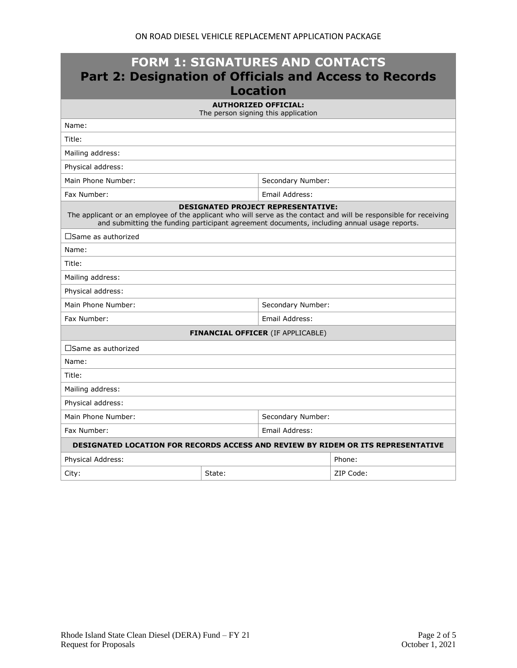| <b>FORM 1: SIGNATURES AND CONTACTS</b><br><b>Part 2: Designation of Officials and Access to Records</b><br><b>Location</b>                                                                                                                                    |                             |                                          |           |  |
|---------------------------------------------------------------------------------------------------------------------------------------------------------------------------------------------------------------------------------------------------------------|-----------------------------|------------------------------------------|-----------|--|
|                                                                                                                                                                                                                                                               | <b>AUTHORIZED OFFICIAL:</b> | The person signing this application      |           |  |
| Name:                                                                                                                                                                                                                                                         |                             |                                          |           |  |
| Title:                                                                                                                                                                                                                                                        |                             |                                          |           |  |
| Mailing address:                                                                                                                                                                                                                                              |                             |                                          |           |  |
| Physical address:                                                                                                                                                                                                                                             |                             |                                          |           |  |
| Main Phone Number:                                                                                                                                                                                                                                            |                             | Secondary Number:                        |           |  |
| Fax Number:                                                                                                                                                                                                                                                   |                             | Email Address:                           |           |  |
| <b>DESIGNATED PROJECT REPRESENTATIVE:</b><br>The applicant or an employee of the applicant who will serve as the contact and will be responsible for receiving<br>and submitting the funding participant agreement documents, including annual usage reports. |                             |                                          |           |  |
| $\square$ Same as authorized                                                                                                                                                                                                                                  |                             |                                          |           |  |
| Name:                                                                                                                                                                                                                                                         |                             |                                          |           |  |
| Title:                                                                                                                                                                                                                                                        |                             |                                          |           |  |
| Mailing address:                                                                                                                                                                                                                                              |                             |                                          |           |  |
| Physical address:                                                                                                                                                                                                                                             |                             |                                          |           |  |
| Main Phone Number:<br>Secondary Number:                                                                                                                                                                                                                       |                             |                                          |           |  |
| Fax Number:<br>Email Address:                                                                                                                                                                                                                                 |                             |                                          |           |  |
|                                                                                                                                                                                                                                                               |                             | <b>FINANCIAL OFFICER (IF APPLICABLE)</b> |           |  |
| $\square$ Same as authorized                                                                                                                                                                                                                                  |                             |                                          |           |  |
| Name:                                                                                                                                                                                                                                                         |                             |                                          |           |  |
| Title:                                                                                                                                                                                                                                                        |                             |                                          |           |  |
| Mailing address:                                                                                                                                                                                                                                              |                             |                                          |           |  |
| Physical address:                                                                                                                                                                                                                                             |                             |                                          |           |  |
| Main Phone Number:                                                                                                                                                                                                                                            |                             | Secondary Number:                        |           |  |
| Fax Number:<br>Email Address:                                                                                                                                                                                                                                 |                             |                                          |           |  |
| DESIGNATED LOCATION FOR RECORDS ACCESS AND REVIEW BY RIDEM OR ITS REPRESENTATIVE                                                                                                                                                                              |                             |                                          |           |  |
| Physical Address:                                                                                                                                                                                                                                             |                             |                                          | Phone:    |  |
| City:                                                                                                                                                                                                                                                         | State:                      |                                          | ZIP Code: |  |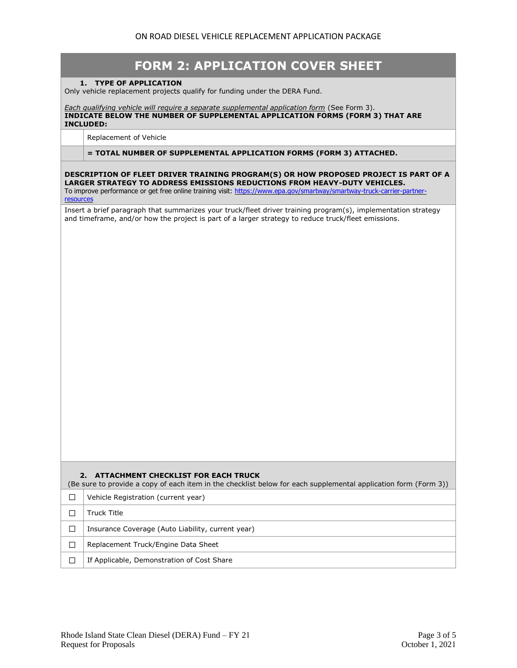| <b>FORM 2: APPLICATION COVER SHEET</b>                                                                                                                                                                                                                                                                   |
|----------------------------------------------------------------------------------------------------------------------------------------------------------------------------------------------------------------------------------------------------------------------------------------------------------|
| 1. TYPE OF APPLICATION<br>Only vehicle replacement projects qualify for funding under the DERA Fund.                                                                                                                                                                                                     |
| Each qualifying vehicle will require a separate supplemental application form (See Form 3).<br>INDICATE BELOW THE NUMBER OF SUPPLEMENTAL APPLICATION FORMS (FORM 3) THAT ARE<br><b>INCLUDED:</b>                                                                                                         |
| Replacement of Vehicle                                                                                                                                                                                                                                                                                   |
| = TOTAL NUMBER OF SUPPLEMENTAL APPLICATION FORMS (FORM 3) ATTACHED.                                                                                                                                                                                                                                      |
| DESCRIPTION OF FLEET DRIVER TRAINING PROGRAM(S) OR HOW PROPOSED PROJECT IS PART OF A<br>LARGER STRATEGY TO ADDRESS EMISSIONS REDUCTIONS FROM HEAVY-DUTY VEHICLES.<br>To improve performance or get free online training visit: https://www.epa.gov/smartway/smartway-truck-carrier-partner-<br>resources |
| Insert a brief paragraph that summarizes your truck/fleet driver training program(s), implementation strategy<br>and timeframe, and/or how the project is part of a larger strategy to reduce truck/fleet emissions.                                                                                     |
| ATTACHMENT CHECKLIST FOR EACH TRUCK<br>2.<br>(Be sure to provide a copy of each item in the checklist below for each supplemental application form (Form 3))                                                                                                                                             |
| Vehicle Registration (current year)<br>П                                                                                                                                                                                                                                                                 |
| <b>Truck Title</b><br>□                                                                                                                                                                                                                                                                                  |
| Insurance Coverage (Auto Liability, current year)<br>□                                                                                                                                                                                                                                                   |
| Replacement Truck/Engine Data Sheet<br>П                                                                                                                                                                                                                                                                 |
| If Applicable, Demonstration of Cost Share<br>П                                                                                                                                                                                                                                                          |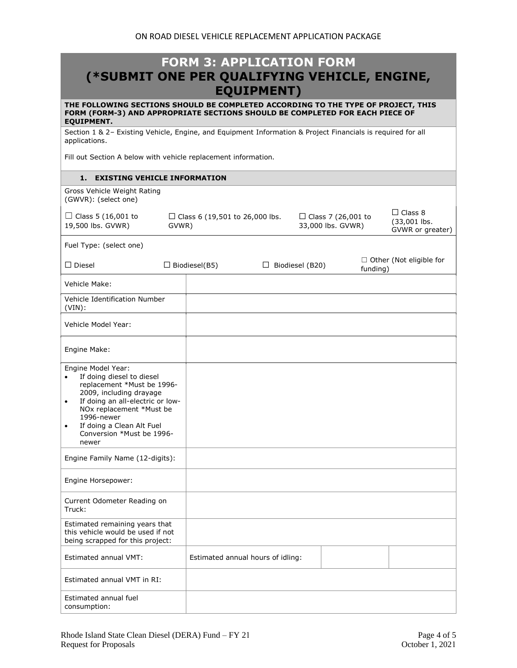## **FORM 3: APPLICATION FORM (\*SUBMIT ONE PER QUALIFYING VEHICLE, ENGINE, EQUIPMENT)**

**THE FOLLOWING SECTIONS SHOULD BE COMPLETED ACCORDING TO THE TYPE OF PROJECT, THIS FORM (FORM-3) AND APPROPRIATE SECTIONS SHOULD BE COMPLETED FOR EACH PIECE OF EQUIPMENT.**

Section 1 & 2– Existing Vehicle, Engine, and Equipment Information & Project Financials is required for all applications.

Fill out Section A below with vehicle replacement information.

## **1. EXISTING VEHICLE INFORMATION**

| Gross Vehicle Weight Rating<br>(GWVR): (select one)                                                                                                                                                                                                                                              |                                           |                                   |                                                |          |                                                    |
|--------------------------------------------------------------------------------------------------------------------------------------------------------------------------------------------------------------------------------------------------------------------------------------------------|-------------------------------------------|-----------------------------------|------------------------------------------------|----------|----------------------------------------------------|
| $\Box$ Class 5 (16,001 to<br>19,500 lbs. GVWR)                                                                                                                                                                                                                                                   | □ Class 6 (19,501 to 26,000 lbs.<br>GVWR) |                                   | $\Box$ Class 7 (26,001 to<br>33,000 lbs. GVWR) |          | $\Box$ Class 8<br>(33,001 lbs.<br>GVWR or greater) |
| Fuel Type: (select one)                                                                                                                                                                                                                                                                          |                                           |                                   |                                                |          |                                                    |
| $\square$ Diesel                                                                                                                                                                                                                                                                                 | $\Box$ Biodiesel(B5)                      |                                   | $\Box$ Biodiesel (B20)                         | funding) | $\Box$ Other (Not eligible for                     |
| Vehicle Make:                                                                                                                                                                                                                                                                                    |                                           |                                   |                                                |          |                                                    |
| Vehicle Identification Number<br>$(VIN)$ :                                                                                                                                                                                                                                                       |                                           |                                   |                                                |          |                                                    |
| Vehicle Model Year:                                                                                                                                                                                                                                                                              |                                           |                                   |                                                |          |                                                    |
| Engine Make:                                                                                                                                                                                                                                                                                     |                                           |                                   |                                                |          |                                                    |
| Engine Model Year:<br>If doing diesel to diesel<br>$\bullet$<br>replacement *Must be 1996-<br>2009, including drayage<br>If doing an all-electric or low-<br>$\bullet$<br>NOx replacement *Must be<br>1996-newer<br>If doing a Clean Alt Fuel<br>$\bullet$<br>Conversion *Must be 1996-<br>newer |                                           |                                   |                                                |          |                                                    |
| Engine Family Name (12-digits):                                                                                                                                                                                                                                                                  |                                           |                                   |                                                |          |                                                    |
| Engine Horsepower:                                                                                                                                                                                                                                                                               |                                           |                                   |                                                |          |                                                    |
| Current Odometer Reading on<br>Truck:                                                                                                                                                                                                                                                            |                                           |                                   |                                                |          |                                                    |
| Estimated remaining years that<br>this vehicle would be used if not<br>being scrapped for this project:                                                                                                                                                                                          |                                           |                                   |                                                |          |                                                    |
| Estimated annual VMT:                                                                                                                                                                                                                                                                            |                                           | Estimated annual hours of idling: |                                                |          |                                                    |
| Estimated annual VMT in RI:                                                                                                                                                                                                                                                                      |                                           |                                   |                                                |          |                                                    |
| Estimated annual fuel<br>consumption:                                                                                                                                                                                                                                                            |                                           |                                   |                                                |          |                                                    |